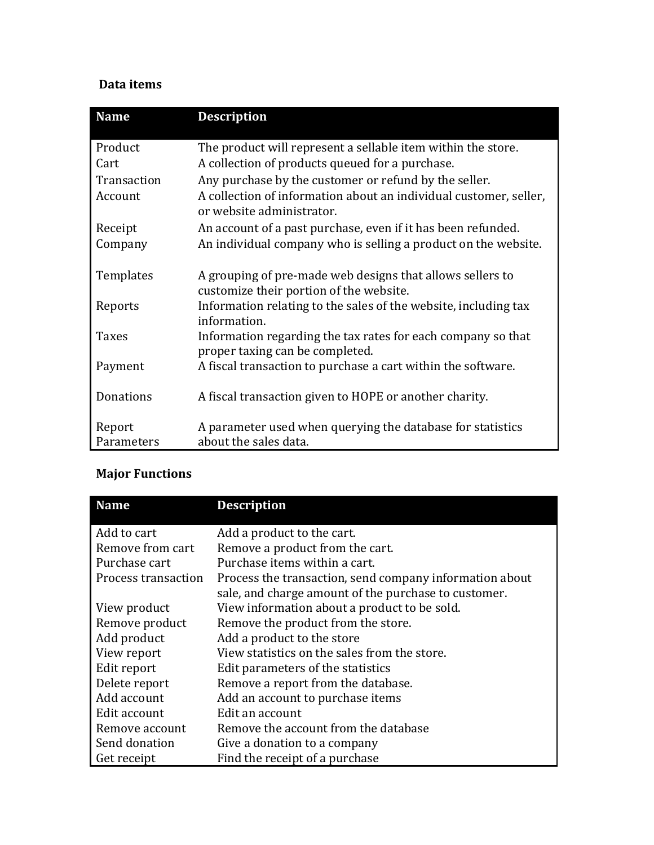## **Data items**

| <b>Name</b>          | <b>Description</b>                                                                                   |
|----------------------|------------------------------------------------------------------------------------------------------|
| Product              | The product will represent a sellable item within the store.                                         |
| Cart                 | A collection of products queued for a purchase.                                                      |
| Transaction          | Any purchase by the customer or refund by the seller.                                                |
| Account              | A collection of information about an individual customer, seller,<br>or website administrator.       |
| Receipt              | An account of a past purchase, even if it has been refunded.                                         |
| Company              | An individual company who is selling a product on the website.                                       |
| Templates            | A grouping of pre-made web designs that allows sellers to<br>customize their portion of the website. |
| Reports              | Information relating to the sales of the website, including tax<br>information.                      |
| <b>Taxes</b>         | Information regarding the tax rates for each company so that<br>proper taxing can be completed.      |
| Payment              | A fiscal transaction to purchase a cart within the software.                                         |
| Donations            | A fiscal transaction given to HOPE or another charity.                                               |
| Report<br>Parameters | A parameter used when querying the database for statistics<br>about the sales data.                  |

## **Major Functions**

| <b>Name</b>         | <b>Description</b>                                      |
|---------------------|---------------------------------------------------------|
| Add to cart         | Add a product to the cart.                              |
| Remove from cart    | Remove a product from the cart.                         |
| Purchase cart       | Purchase items within a cart.                           |
| Process transaction | Process the transaction, send company information about |
|                     | sale, and charge amount of the purchase to customer.    |
| View product        | View information about a product to be sold.            |
| Remove product      | Remove the product from the store.                      |
| Add product         | Add a product to the store                              |
| View report         | View statistics on the sales from the store.            |
| Edit report         | Edit parameters of the statistics                       |
| Delete report       | Remove a report from the database.                      |
| Add account         | Add an account to purchase items                        |
| Edit account        | Edit an account                                         |
| Remove account      | Remove the account from the database                    |
| Send donation       | Give a donation to a company                            |
| Get receipt         | Find the receipt of a purchase                          |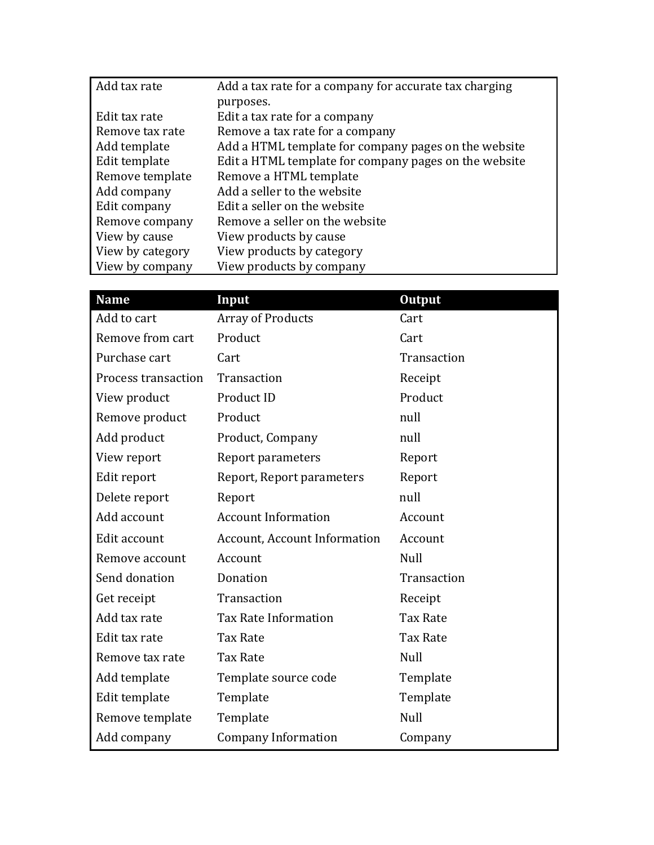| Add tax rate     | Add a tax rate for a company for accurate tax charging |
|------------------|--------------------------------------------------------|
|                  | purposes.                                              |
| Edit tax rate    | Edit a tax rate for a company                          |
| Remove tax rate  | Remove a tax rate for a company                        |
| Add template     | Add a HTML template for company pages on the website   |
| Edit template    | Edit a HTML template for company pages on the website  |
| Remove template  | Remove a HTML template                                 |
| Add company      | Add a seller to the website                            |
| Edit company     | Edit a seller on the website                           |
| Remove company   | Remove a seller on the website                         |
| View by cause    | View products by cause                                 |
| View by category | View products by category                              |
| View by company  | View products by company                               |

| <b>Name</b>         | Input                               | <b>Output</b>   |
|---------------------|-------------------------------------|-----------------|
| Add to cart         | <b>Array of Products</b>            | Cart            |
| Remove from cart    | Product                             | Cart            |
| Purchase cart       | Cart                                | Transaction     |
| Process transaction | Transaction                         | Receipt         |
| View product        | Product ID                          | Product         |
| Remove product      | Product                             | null            |
| Add product         | Product, Company                    | null            |
| View report         | Report parameters                   | Report          |
| Edit report         | Report, Report parameters           | Report          |
| Delete report       | Report                              | null            |
| Add account         | <b>Account Information</b>          | Account         |
| Edit account        | <b>Account, Account Information</b> | Account         |
| Remove account      | Account                             | Null            |
| Send donation       | Donation                            | Transaction     |
| Get receipt         | Transaction                         | Receipt         |
| Add tax rate        | <b>Tax Rate Information</b>         | <b>Tax Rate</b> |
| Edit tax rate       | <b>Tax Rate</b>                     | <b>Tax Rate</b> |
| Remove tax rate     | <b>Tax Rate</b>                     | Null            |
| Add template        | Template source code                | Template        |
| Edit template       | Template                            | Template        |
| Remove template     | Template                            | Null            |
| Add company         | <b>Company Information</b>          | Company         |